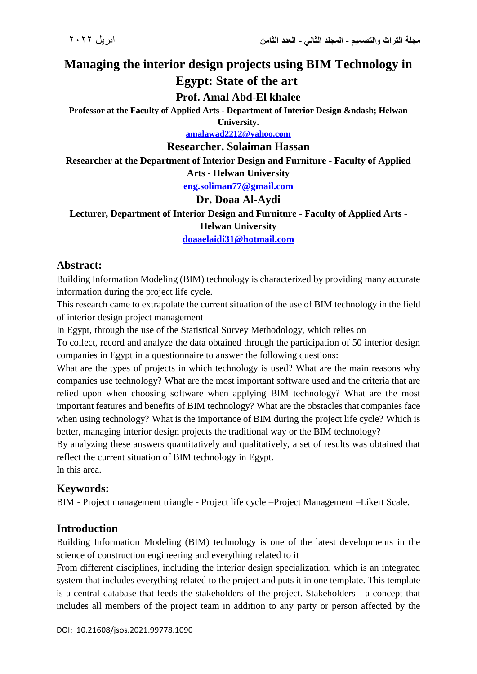# **Managing the interior design projects using BIM Technology in Egypt: State of the art**

**Prof. Amal Abd-El khalee**

Professor at the Faculty of Applied Arts - Department of Interior Design – Helwan **University.**

**[amalawad2212@yahoo.com](mailto:amalawad2212@yahoo.com)**

#### **Researcher. Solaiman Hassan**

**Researcher at the Department of Interior Design and Furniture - Faculty of Applied Arts - Helwan University**

**[eng.soliman77@gmail.com](mailto:eng.soliman77@gmail.com)**

## **Dr. Doaa Al-Aydi**

**Lecturer, Department of Interior Design and Furniture - Faculty of Applied Arts - Helwan University**

**[doaaelaidi31@hotmail.com](mailto:doaaelaidi31@hotmail.com)**

## **Abstract:**

Building Information Modeling (BIM) technology is characterized by providing many accurate information during the project life cycle.

This research came to extrapolate the current situation of the use of BIM technology in the field of interior design project management

In Egypt, through the use of the Statistical Survey Methodology, which relies on

To collect, record and analyze the data obtained through the participation of 50 interior design companies in Egypt in a questionnaire to answer the following questions:

What are the types of projects in which technology is used? What are the main reasons why companies use technology? What are the most important software used and the criteria that are relied upon when choosing software when applying BIM technology? What are the most important features and benefits of BIM technology? What are the obstacles that companies face when using technology? What is the importance of BIM during the project life cycle? Which is better, managing interior design projects the traditional way or the BIM technology?

By analyzing these answers quantitatively and qualitatively, a set of results was obtained that reflect the current situation of BIM technology in Egypt.

In this area.

## **Keywords:**

BIM - Project management triangle - Project life cycle –Project Management –Likert Scale.

## **Introduction**

Building Information Modeling (BIM) technology is one of the latest developments in the science of construction engineering and everything related to it

From different disciplines, including the interior design specialization, which is an integrated system that includes everything related to the project and puts it in one template. This template is a central database that feeds the stakeholders of the project. Stakeholders - a concept that includes all members of the project team in addition to any party or person affected by the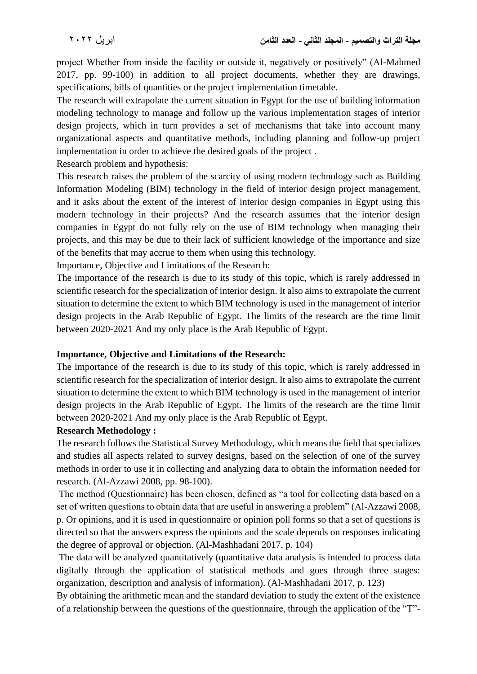project Whether from inside the facility or outside it, negatively or positively" (Al-Mahmed 2017, pp. 99-100) in addition to all project documents, whether they are drawings, specifications, bills of quantities or the project implementation timetable.

The research will extrapolate the current situation in Egypt for the use of building information modeling technology to manage and follow up the various implementation stages of interior design projects, which in turn provides a set of mechanisms that take into account many organizational aspects and quantitative methods, including planning and follow-up project implementation in order to achieve the desired goals of the project .

Research problem and hypothesis:

This research raises the problem of the scarcity of using modern technology such as Building Information Modeling (BIM) technology in the field of interior design project management, and it asks about the extent of the interest of interior design companies in Egypt using this modern technology in their projects? And the research assumes that the interior design companies in Egypt do not fully rely on the use of BIM technology when managing their projects, and this may be due to their lack of sufficient knowledge of the importance and size of the benefits that may accrue to them when using this technology.

Importance, Objective and Limitations of the Research:

The importance of the research is due to its study of this topic, which is rarely addressed in scientific research for the specialization of interior design. It also aims to extrapolate the current situation to determine the extent to which BIM technology is used in the management of interior design projects in the Arab Republic of Egypt. The limits of the research are the time limit between 2020-2021 And my only place is the Arab Republic of Egypt.

#### **Importance, Objective and Limitations of the Research:**

The importance of the research is due to its study of this topic, which is rarely addressed in scientific research for the specialization of interior design. It also aims to extrapolate the current situation to determine the extent to which BIM technology is used in the management of interior design projects in the Arab Republic of Egypt. The limits of the research are the time limit between 2020-2021 And my only place is the Arab Republic of Egypt.

#### **Research Methodology :**

The research follows the Statistical Survey Methodology, which means the field that specializes and studies all aspects related to survey designs, based on the selection of one of the survey methods in order to use it in collecting and analyzing data to obtain the information needed for research. (Al-Azzawi 2008, pp. 98-100).

The method (Questionnaire) has been chosen, defined as "a tool for collecting data based on a set of written questions to obtain data that are useful in answering a problem" (Al-Azzawi 2008, p. Or opinions, and it is used in questionnaire or opinion poll forms so that a set of questions is directed so that the answers express the opinions and the scale depends on responses indicating the degree of approval or objection. (Al-Mashhadani 2017, p. 104)

The data will be analyzed quantitatively (quantitative data analysis is intended to process data digitally through the application of statistical methods and goes through three stages: organization, description and analysis of information). (Al-Mashhadani 2017, p. 123)

By obtaining the arithmetic mean and the standard deviation to study the extent of the existence of a relationship between the questions of the questionnaire, through the application of the "T"-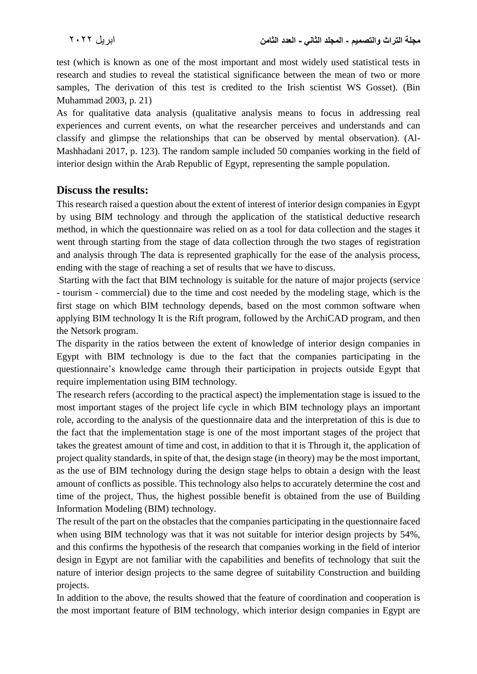test (which is known as one of the most important and most widely used statistical tests in research and studies to reveal the statistical significance between the mean of two or more samples, The derivation of this test is credited to the Irish scientist WS Gosset). (Bin Muhammad 2003, p. 21)

As for qualitative data analysis (qualitative analysis means to focus in addressing real experiences and current events, on what the researcher perceives and understands and can classify and glimpse the relationships that can be observed by mental observation). (Al-Mashhadani 2017, p. 123). The random sample included 50 companies working in the field of interior design within the Arab Republic of Egypt, representing the sample population.

## **Discuss the results:**

This research raised a question about the extent of interest of interior design companies in Egypt by using BIM technology and through the application of the statistical deductive research method, in which the questionnaire was relied on as a tool for data collection and the stages it went through starting from the stage of data collection through the two stages of registration and analysis through The data is represented graphically for the ease of the analysis process, ending with the stage of reaching a set of results that we have to discuss.

Starting with the fact that BIM technology is suitable for the nature of major projects (service - tourism - commercial) due to the time and cost needed by the modeling stage, which is the first stage on which BIM technology depends, based on the most common software when applying BIM technology It is the Rift program, followed by the ArchiCAD program, and then the Netsork program.

The disparity in the ratios between the extent of knowledge of interior design companies in Egypt with BIM technology is due to the fact that the companies participating in the questionnaire's knowledge came through their participation in projects outside Egypt that require implementation using BIM technology.

The research refers (according to the practical aspect) the implementation stage is issued to the most important stages of the project life cycle in which BIM technology plays an important role, according to the analysis of the questionnaire data and the interpretation of this is due to the fact that the implementation stage is one of the most important stages of the project that takes the greatest amount of time and cost, in addition to that it is Through it, the application of project quality standards, in spite of that, the design stage (in theory) may be the most important, as the use of BIM technology during the design stage helps to obtain a design with the least amount of conflicts as possible. This technology also helps to accurately determine the cost and time of the project, Thus, the highest possible benefit is obtained from the use of Building Information Modeling (BIM) technology.

The result of the part on the obstacles that the companies participating in the questionnaire faced when using BIM technology was that it was not suitable for interior design projects by 54%, and this confirms the hypothesis of the research that companies working in the field of interior design in Egypt are not familiar with the capabilities and benefits of technology that suit the nature of interior design projects to the same degree of suitability Construction and building projects.

In addition to the above, the results showed that the feature of coordination and cooperation is the most important feature of BIM technology, which interior design companies in Egypt are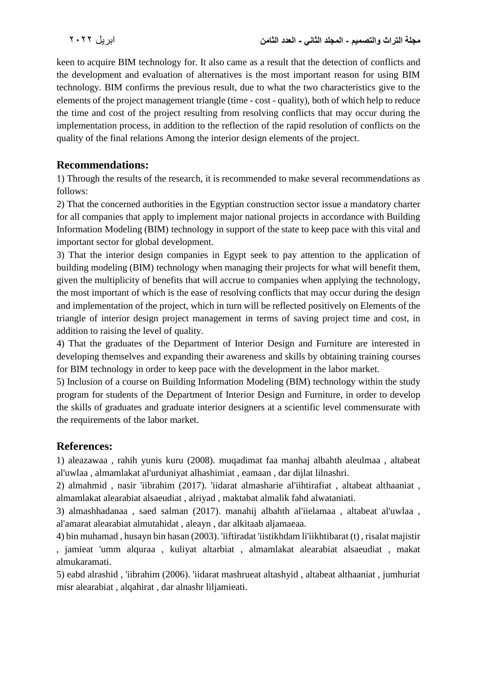keen to acquire BIM technology for. It also came as a result that the detection of conflicts and the development and evaluation of alternatives is the most important reason for using BIM technology. BIM confirms the previous result, due to what the two characteristics give to the elements of the project management triangle (time - cost - quality), both of which help to reduce the time and cost of the project resulting from resolving conflicts that may occur during the implementation process, in addition to the reflection of the rapid resolution of conflicts on the quality of the final relations Among the interior design elements of the project.

# **Recommendations:**

1) Through the results of the research, it is recommended to make several recommendations as follows:

2) That the concerned authorities in the Egyptian construction sector issue a mandatory charter for all companies that apply to implement major national projects in accordance with Building Information Modeling (BIM) technology in support of the state to keep pace with this vital and important sector for global development.

3) That the interior design companies in Egypt seek to pay attention to the application of building modeling (BIM) technology when managing their projects for what will benefit them, given the multiplicity of benefits that will accrue to companies when applying the technology, the most important of which is the ease of resolving conflicts that may occur during the design and implementation of the project, which in turn will be reflected positively on Elements of the triangle of interior design project management in terms of saving project time and cost, in addition to raising the level of quality.

4) That the graduates of the Department of Interior Design and Furniture are interested in developing themselves and expanding their awareness and skills by obtaining training courses for BIM technology in order to keep pace with the development in the labor market.

5) Inclusion of a course on Building Information Modeling (BIM) technology within the study program for students of the Department of Interior Design and Furniture, in order to develop the skills of graduates and graduate interior designers at a scientific level commensurate with the requirements of the labor market.

## **References:**

1) aleazawaa , rahih yunis kuru (2008). muqadimat faa manhaj albahth aleulmaa , altabeat al'uwlaa , almamlakat al'urduniyat alhashimiat , eamaan , dar dijlat lilnashri.

2) almahmid , nasir 'iibrahim (2017). 'iidarat almasharie al'iihtirafiat , altabeat althaaniat , almamlakat alearabiat alsaeudiat , alriyad , maktabat almalik fahd alwataniati.

3) almashhadanaa , saed salman (2017). manahij albahth al'iielamaa , altabeat al'uwlaa , al'amarat alearabiat almutahidat , aleayn , dar alkitaab aljamaeaa.

4) bin muhamad , husayn bin hasan (2003). 'iiftiradat 'iistikhdam li'iikhtibarat (t) , risalat majistir , jamieat 'umm alquraa , kuliyat altarbiat , almamlakat alearabiat alsaeudiat , makat almukaramati.

5) eabd alrashid , 'iibrahim (2006). 'iidarat mashrueat altashyid , altabeat althaaniat , jumhuriat misr alearabiat , alqahirat , dar alnashr liljamieati.